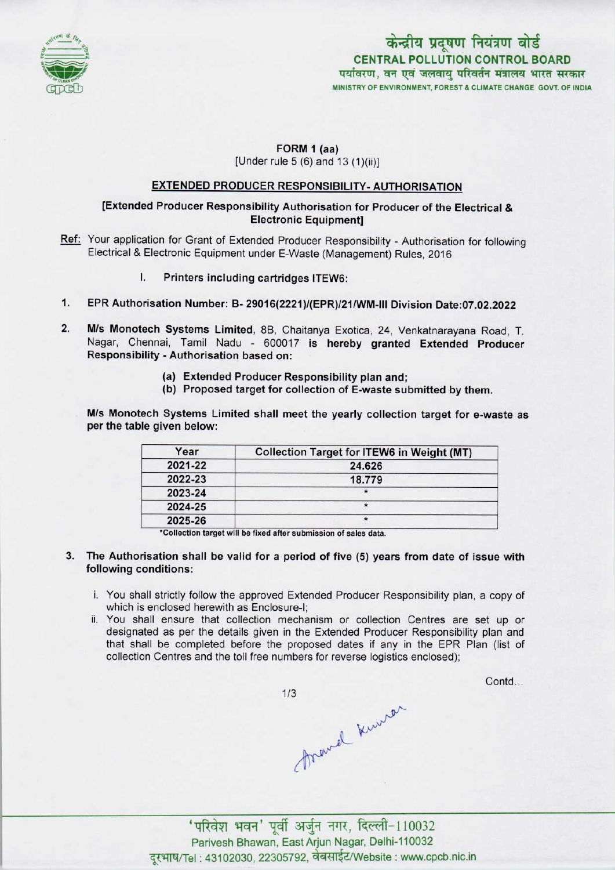

# केन्द्रीय प्रदूषण नियंत्रण बोर्ड CENTRAL POLLUTION CONTROL BOARD पर्यावरण, वन एवं जलवायु परिवर्तन मंत्रालय भारत सरकार MINISTRY OF ENVIRONMENT, FOREST & CLIMATE CHANGE GOVT, OF INDIA

# FORM 1 (aa)

[Under rule 5 (6) and 13 (1)(ii)]

## EXTENDED PRODUCER RESPONSIBILITY- AUTHORISATION

### [Extended Producer Responsibility Authorisation for Producer of the Electrical & Electronic Equipment]

- Ref: Your application for Grant of Extended Producer Responsibility Authorisation for following Electrical & Electronic Equipment under E-Waste (Management) Rules, 2016
	- I. Printers including cartridges ITEW6:
- 1.EPR Authorisation Number: B- 29016(2221)/(EPR>/21/WM-lll Division Date:07.02.2022
- 2.M/s Monotech Systems Limited, 8B, Chaitanya Exotica, 24, Venkatnarayana Road, T. Nagar, Chennai, Tamil Nadu - 600017 is hereby granted Extended Producer Responsibility - Authorisation based on:
	- (a)Extended Producer Responsibility plan and;
	- (b) Proposed target for collection of E-waste submitted by them.

M/s Monotech Systems Limited shall meet the yearly collection target for e-waste as per the table given below:

| Year    | <b>Collection Target for ITEW6 in Weight (MT)</b> |
|---------|---------------------------------------------------|
| 2021-22 | 24.626                                            |
| 2022-23 | 18.779                                            |
| 2023-24 |                                                   |
| 2024-25 |                                                   |
| 2025-26 |                                                   |

\*Collection target will be fixed after submission of sales data.

- 3. The Authorisation shall be valid for a period of five (5) years from date of issue with following conditions:
	- i. You shall strictly follow the approved Extended Producer Responsibility plan, a copy of which is enclosed herewith as Enclosure-I;
	- ii. You shall ensure that collection mechanism or collection Centres are set up or designated as per the details given in the Extended Producer Responsibility plan and that shall be completed before the proposed dates if any in the EPR Plan (list of collection Centres and the toll free numbers for reverse logistics enclosed);

 $1/3$ 

Contd...

threwel knurer

'परिवेश भवन' पूर्वी अर्जुन नगर, दिल्ली-110032 Parivesh Bhawan, EastArjun Nagar, Delhi-110032 दरभाष/Tel: 43102030, 22305792, वेबसाईट/Website : www.cpcb.nic.in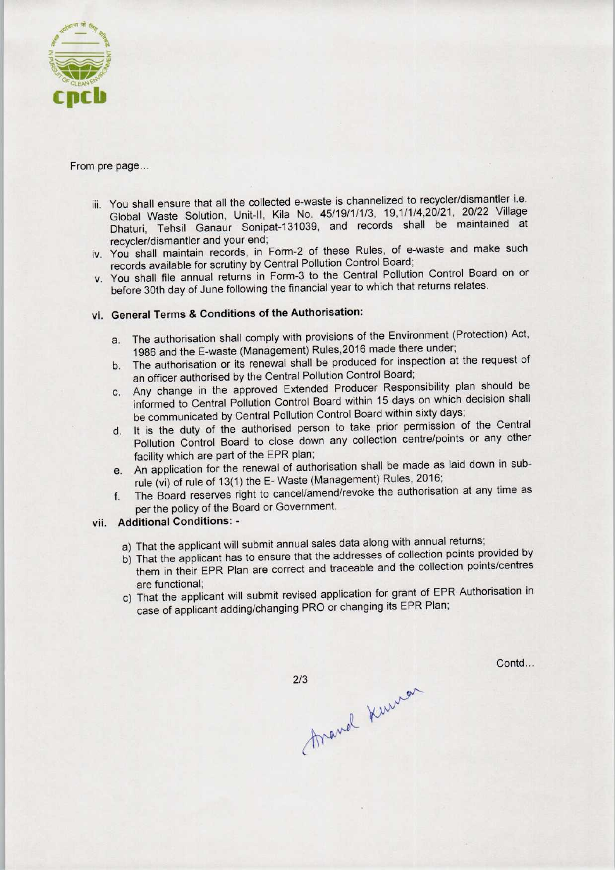

#### From pre page...

- iii. You shall ensure that all the collected e-waste is channelized to recycler/dismantler i.e. Global Waste Solution, Unit-ll, Kila No. 45/19/1/1/3, 19,1/1/4,20/21, 20/22 Village Dhaturi, Tehsil Ganaur Sonipat-131039, and records shall be maintained at recycler/dismantler and your end;
- iv. You shall maintain records, in Form-2 of these Rules, of e-waste and make such records available for scrutiny by Central Pollution Control Board;
- v. You shall file annual returns in Form-3 to the Central Pollution Control Board on or before 30th day of June following the financial year to which that returns relates.

## vi. General Terms & Conditions of the Authorisation:

- a.The authorisation shall comply with provisions of the Environment (Protection) Act, 1986 and the E-waste (Management) Rules, 2016 made there under;
- b. The authorisation or its renewal shall be produced for inspection at the request of an officer authorised by the Central Pollution Control Board;
- c.Any change in the approved Extended Producer Responsibility plan should be informed to Central Pollution Control Board within 15 days on which decision shall be communicated by Central Pollution Control Board within sixty days;
- d. It is the duty of the authorised person to take prior permission of the Central Pollution Control Board to close down any collection centre/points or any other facility which are part of the EPR plan;
- e.An application for the renewal of authorisation shall be made aslaid down in subrule (vi) of rule of 13(1) the E-Waste (Management) Rules, 2016;
- f. The Board reserves right to cancel/amend/revoke the authorisation at any time as per the policy of the Board or Government.

#### vii. Additional Conditions: -

- a) That the applicant will submit annual sales data along with annual returns;
- b) That the applicant has to ensure that the addresses of collection points provided by them in their EPR Plan are correct and traceable and the collection points/centres are functional;
- c) That the applicant will submit revised application for grant of EPR Authorisation in case of applicant adding/changing PRO or changing its EPR Plan;

Contd...

Arand Kuman  $2/3$